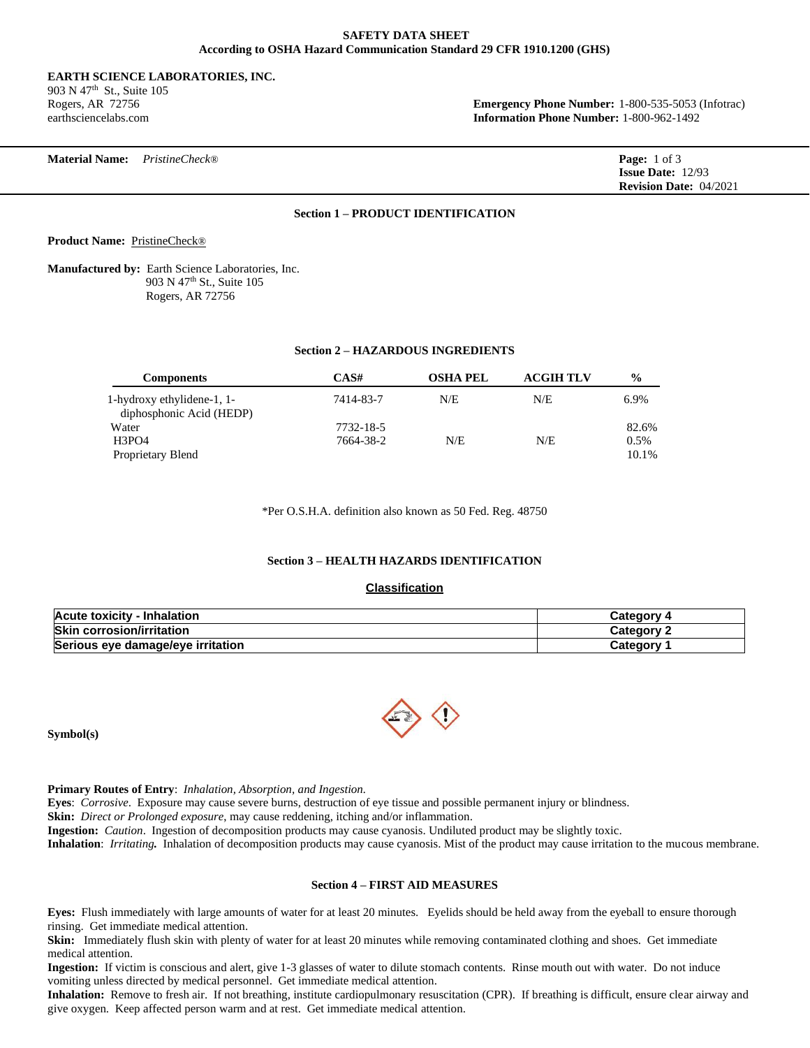### **SAFETY DATA SHEET According to OSHA Hazard Communication Standard 29 CFR 1910.1200 (GHS)**

#### **EARTH SCIENCE LABORATORIES, INC.**

903 N 47<sup>th</sup> St., Suite 105

Rogers, AR 72756 **Emergency Phone Number:** 1-800-535-5053 (Infotrac) earthsciencelabs.com **Information Phone Number:** 1-800-962-1492

# **Section 1 – PRODUCT IDENTIFICATION**

**Product Name:** PristineCheck®

**Manufactured by:** Earth Science Laboratories, Inc. 903 N 47th St., Suite 105 Rogers, AR 72756

### **Section 2 – HAZARDOUS INGREDIENTS**

| <b>Components</b>                                      | CAS#      | <b>OSHA PEL</b> | <b>ACGIH TLV</b> | $\frac{6}{9}$ |
|--------------------------------------------------------|-----------|-----------------|------------------|---------------|
| 1-hydroxy ethylidene-1, 1-<br>diphosphonic Acid (HEDP) | 7414-83-7 | N/E             | N/E              | 6.9%          |
| Water                                                  | 7732-18-5 |                 |                  | 82.6%         |
| H3PO4                                                  | 7664-38-2 | N/E             | N/E              | 0.5%          |
| Proprietary Blend                                      |           |                 |                  | 10.1%         |

\*Per O.S.H.A. definition also known as 50 Fed. Reg. 48750

## **Section 3 – HEALTH HAZARDS IDENTIFICATION**

# **Classification**

| <b>Acute toxicity - Inhalation</b> | 4 Category |
|------------------------------------|------------|
| <b>Skin corrosion/irritation</b>   | Category 2 |
| Serious eye damage/eye irritation  | Category   |

**Symbol(s)** 

**Primary Routes of Entry**: *Inhalation, Absorption, and Ingestion.*

**Eyes**: *Corrosive*. Exposure may cause severe burns, destruction of eye tissue and possible permanent injury or blindness.

**Skin:** *Direct or Prolonged exposure*, may cause reddening, itching and/or inflammation.

**Ingestion:** *Caution*. Ingestion of decomposition products may cause cyanosis. Undiluted product may be slightly toxic.

**Inhalation**: *Irritating.* Inhalation of decomposition products may cause cyanosis. Mist of the product may cause irritation to the mucous membrane.

# **Section 4 – FIRST AID MEASURES**

**Eyes:** Flush immediately with large amounts of water for at least 20 minutes. Eyelids should be held away from the eyeball to ensure thorough rinsing. Get immediate medical attention.

**Skin:** Immediately flush skin with plenty of water for at least 20 minutes while removing contaminated clothing and shoes. Get immediate medical attention.

**Ingestion:** If victim is conscious and alert, give 1-3 glasses of water to dilute stomach contents. Rinse mouth out with water. Do not induce vomiting unless directed by medical personnel. Get immediate medical attention.

**Inhalation:** Remove to fresh air. If not breathing, institute cardiopulmonary resuscitation (CPR). If breathing is difficult, ensure clear airway and give oxygen. Keep affected person warm and at rest. Get immediate medical attention.

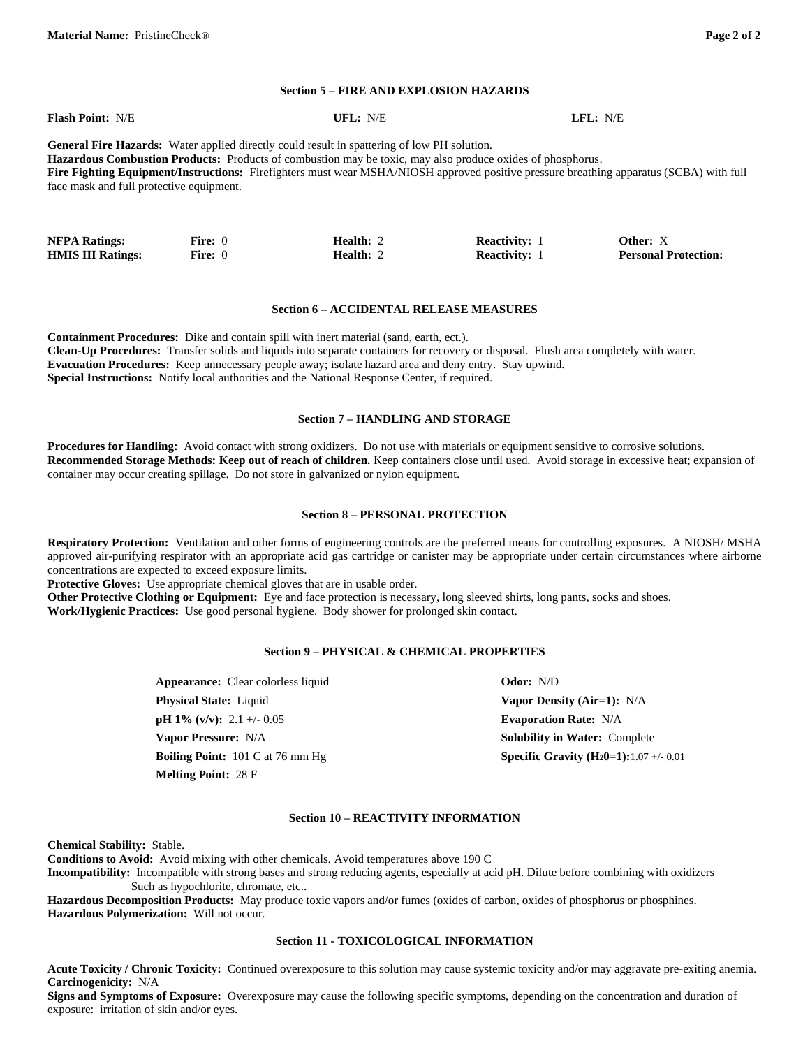#### **Section 5 – FIRE AND EXPLOSION HAZARDS**

| <b>Flash Point: N/E</b>                                                                                                                                                                                          | UFL: N/E | LFL: N/E |  |
|------------------------------------------------------------------------------------------------------------------------------------------------------------------------------------------------------------------|----------|----------|--|
| <b>General Fire Hazards:</b> Water applied directly could result in spattering of low PH solution.<br>Hazardous Combustion Products: Products of combustion may be toxic, may also produce oxides of phosphorus. |          |          |  |
| Fire Fighting Equipment/Instructions: Firefighters must wear MSHA/NIOSH approved positive pressure breathing apparatus (SCBA) with full                                                                          |          |          |  |
| face mask and full protective equipment.                                                                                                                                                                         |          |          |  |

| <b>NFPA Ratings:</b>     | <b>Fire:</b> 0 | <b>Health: 2</b> | <b>Reactivity:</b> 1 | Other: X                    |
|--------------------------|----------------|------------------|----------------------|-----------------------------|
| <b>HMIS III Ratings:</b> | <b>Fire:</b> 0 | <b>Health:</b> 2 | <b>Reactivity:</b> 1 | <b>Personal Protection:</b> |

#### **Section 6 – ACCIDENTAL RELEASE MEASURES**

**Containment Procedures:** Dike and contain spill with inert material (sand, earth, ect.). **Clean-Up Procedures:** Transfer solids and liquids into separate containers for recovery or disposal. Flush area completely with water. **Evacuation Procedures:** Keep unnecessary people away; isolate hazard area and deny entry. Stay upwind. **Special Instructions:** Notify local authorities and the National Response Center, if required.

#### **Section 7 – HANDLING AND STORAGE**

**Procedures for Handling:** Avoid contact with strong oxidizers. Do not use with materials or equipment sensitive to corrosive solutions. **Recommended Storage Methods: Keep out of reach of children.** Keep containers close until used.Avoid storage in excessive heat; expansion of container may occur creating spillage. Do not store in galvanized or nylon equipment.

### **Section 8 – PERSONAL PROTECTION**

**Respiratory Protection:** Ventilation and other forms of engineering controls are the preferred means for controlling exposures. A NIOSH/ MSHA approved air-purifying respirator with an appropriate acid gas cartridge or canister may be appropriate under certain circumstances where airborne concentrations are expected to exceed exposure limits.

**Protective Gloves:** Use appropriate chemical gloves that are in usable order.

**Other Protective Clothing or Equipment:** Eye and face protection is necessary, long sleeved shirts, long pants, socks and shoes. **Work/Hygienic Practices:** Use good personal hygiene. Body shower for prolonged skin contact.

### **Section 9 – PHYSICAL & CHEMICAL PROPERTIES**

| <b>Appearance:</b> Clear colorless liquid                  | <b>Odor:</b> N/D                                          |
|------------------------------------------------------------|-----------------------------------------------------------|
| <b>Physical State:</b> Liquid                              | Vapor Density (Air=1): $N/A$                              |
| $pH 1\% (v/v): 2.1 + (-0.05$                               | <b>Evaporation Rate: N/A</b>                              |
| <b>Vapor Pressure: N/A</b>                                 | <b>Solubility in Water: Complete</b>                      |
| <b>Boiling Point:</b> $101 \text{ C at } 76 \text{ mm Hg}$ | <b>Specific Gravity (H<sub>2</sub>0=1):</b> 1.07 +/- 0.01 |
| <b>Melting Point: 28 F</b>                                 |                                                           |

### **Section 10 – REACTIVITY INFORMATION**

**Chemical Stability:** Stable.

**Conditions to Avoid:** Avoid mixing with other chemicals. Avoid temperatures above 190 C

**Incompatibility:** Incompatible with strong bases and strong reducing agents, especially at acid pH. Dilute before combining with oxidizers Such as hypochlorite, chromate, etc..

**Hazardous Decomposition Products:** May produce toxic vapors and/or fumes (oxides of carbon, oxides of phosphorus or phosphines. **Hazardous Polymerization:** Will not occur.

## **Section 11 - TOXICOLOGICAL INFORMATION**

**Acute Toxicity / Chronic Toxicity:** Continued overexposure to this solution may cause systemic toxicity and/or may aggravate pre-exiting anemia. **Carcinogenicity:** N/A

**Signs and Symptoms of Exposure:** Overexposure may cause the following specific symptoms, depending on the concentration and duration of exposure: irritation of skin and/or eyes.